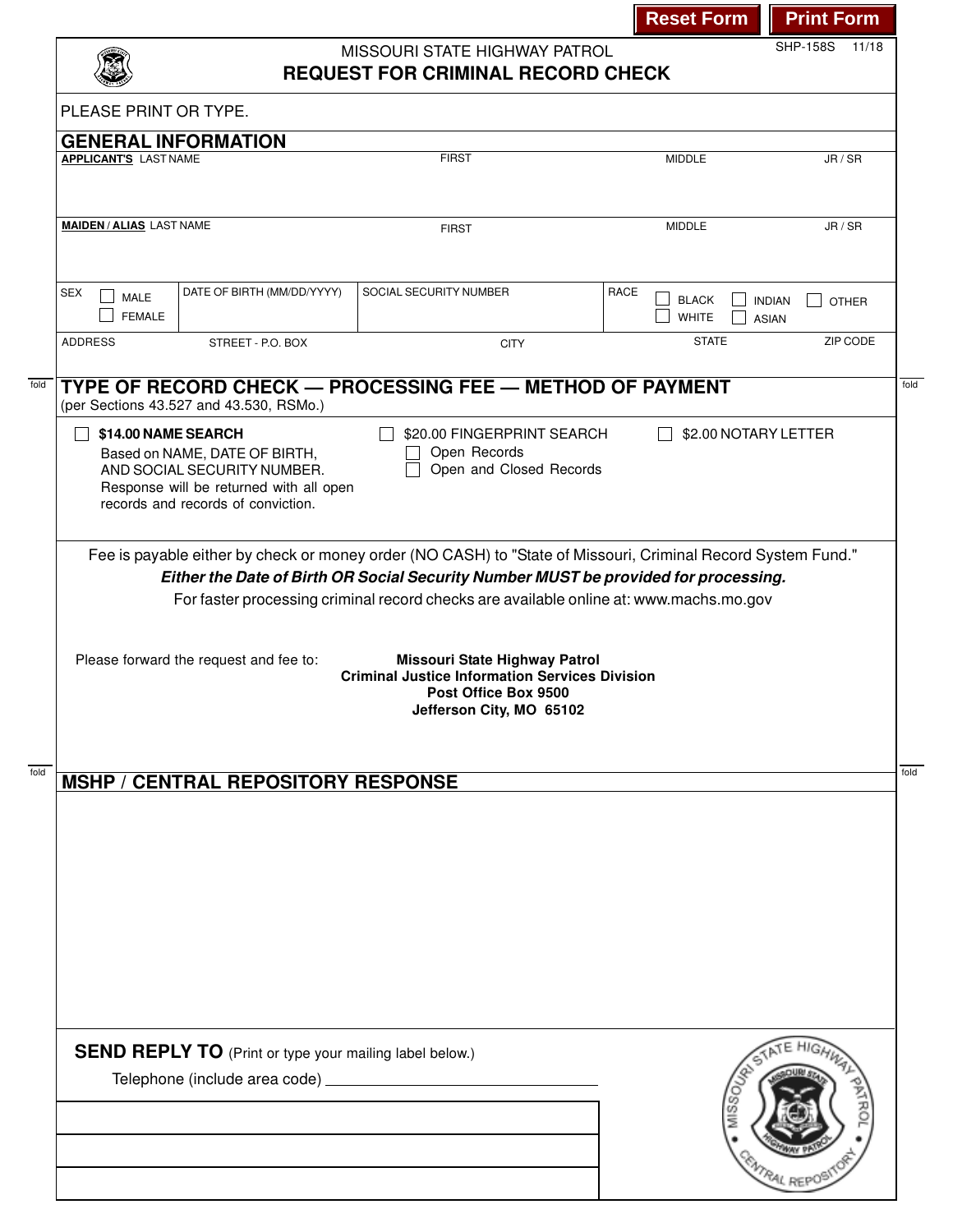|                               |                                                                                                                                               |                                                                                                                                                                                                                                                                                                                          |                                                  | SHP-158S 11/18                                |
|-------------------------------|-----------------------------------------------------------------------------------------------------------------------------------------------|--------------------------------------------------------------------------------------------------------------------------------------------------------------------------------------------------------------------------------------------------------------------------------------------------------------------------|--------------------------------------------------|-----------------------------------------------|
|                               |                                                                                                                                               | MISSOURI STATE HIGHWAY PATROL<br><b>REQUEST FOR CRIMINAL RECORD CHECK</b>                                                                                                                                                                                                                                                |                                                  |                                               |
| PLEASE PRINT OR TYPE.         |                                                                                                                                               |                                                                                                                                                                                                                                                                                                                          |                                                  |                                               |
|                               | <b>GENERAL INFORMATION</b>                                                                                                                    |                                                                                                                                                                                                                                                                                                                          |                                                  |                                               |
| <b>APPLICANT'S LAST NAME</b>  |                                                                                                                                               | <b>FIRST</b>                                                                                                                                                                                                                                                                                                             | <b>MIDDLE</b>                                    | JR / SR                                       |
| <b>MAIDEN/ALIAS LAST NAME</b> |                                                                                                                                               | <b>FIRST</b>                                                                                                                                                                                                                                                                                                             | <b>MIDDLE</b>                                    | JR / SR                                       |
| <b>SEX</b><br><b>MALE</b>     | DATE OF BIRTH (MM/DD/YYYY)                                                                                                                    | SOCIAL SECURITY NUMBER                                                                                                                                                                                                                                                                                                   | <b>RACE</b>                                      |                                               |
| <b>FEMALE</b>                 |                                                                                                                                               |                                                                                                                                                                                                                                                                                                                          | <b>BLACK</b><br><b>WHITE</b>                     | <b>INDIAN</b><br><b>OTHER</b><br><b>ASIAN</b> |
| <b>ADDRESS</b>                | STREET - P.O. BOX                                                                                                                             | <b>CITY</b>                                                                                                                                                                                                                                                                                                              | <b>STATE</b>                                     | ZIP CODE                                      |
|                               | (per Sections 43.527 and 43.530, RSMo.)                                                                                                       | TYPE OF RECORD CHECK - PROCESSING FEE - METHOD OF PAYMENT                                                                                                                                                                                                                                                                |                                                  |                                               |
| \$14.00 NAME SEARCH           |                                                                                                                                               | \$20.00 FINGERPRINT SEARCH<br>Open Records                                                                                                                                                                                                                                                                               | \$2.00 NOTARY LETTER<br>$\overline{\phantom{0}}$ |                                               |
|                               | Based on NAME, DATE OF BIRTH,<br>AND SOCIAL SECURITY NUMBER.<br>Response will be returned with all open<br>records and records of conviction. | Open and Closed Records<br>Fee is payable either by check or money order (NO CASH) to "State of Missouri, Criminal Record System Fund."<br>Either the Date of Birth OR Social Security Number MUST be provided for processing.<br>For faster processing criminal record checks are available online at: www.machs.mo.gov |                                                  |                                               |
|                               | Please forward the request and fee to:                                                                                                        | Missouri State Highway Patrol<br><b>Criminal Justice Information Services Division</b><br>Post Office Box 9500                                                                                                                                                                                                           |                                                  |                                               |
|                               |                                                                                                                                               | Jefferson City, MO 65102                                                                                                                                                                                                                                                                                                 |                                                  |                                               |
|                               | <b>MSHP / CENTRAL REPOSITORY RESPONSE</b>                                                                                                     |                                                                                                                                                                                                                                                                                                                          |                                                  |                                               |
|                               |                                                                                                                                               |                                                                                                                                                                                                                                                                                                                          |                                                  |                                               |